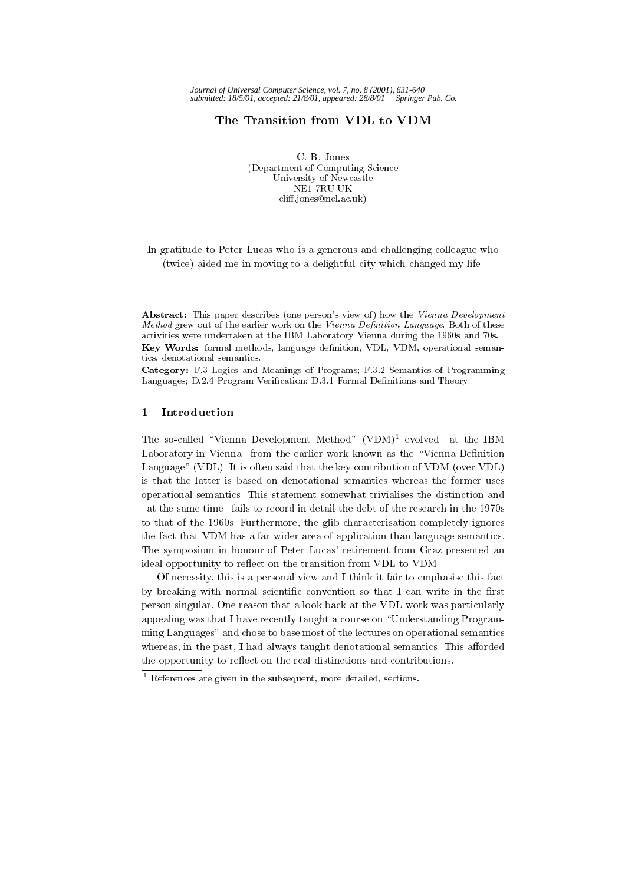# The Transition from VDL to VDM

C. B. Jones (Department of Computing Science University of Newcastle NE1 7RU UK cliff.jones@ncl.ac.uk)

In gratitude to Peter Lucas who is a generous and challenging colleague who (twice) aided me in moving to a delightful city which changed my life.

Abstract: This paper describes (one person's view of) how the Vienna Development Method grew out of the earlier work on the Vienna Definition Language. Both of these activities were undertaken at the IBM Laboratory Vienna during the 1960s and 70s. Key Words: formal methods, language definition, VDL, VDM, operational semantics, denotational semantics.

Category: F.3 Logics and Meanings of Programs; F.3.2 Semantics of Programming Languages; D.2.4 Program Verification; D.3.1 Formal Definitions and Theory

# 1

The so-called "Vienna Development Method" (VDM)<sup>1</sup> evolved  $-$ at the IBM Laboratory in Vienna-from the earlier work known as the "Vienna Definition Language" (VDL). It is often said that the key contribution of VDM (over VDL) is that the latter is based on denotational semantics whereas the former uses operational semantics. This statement somewhat trivialises the distinction and {at the same time{ fails to record in detail the debt of the research in the 1970s to that of the 1960s. Furthermore, the glib characterisation completely ignores the fact that VDM has a far wider area of application than language semantics. The symposium in honour of Peter Lucas' retirement from Graz presented an ideal opportunity to reflect on the transition from VDL to VDM.

Of necessity, this is a personal view and I think it fair to emphasise this fact by breaking with normal scientific convention so that I can write in the first person singular. One reason that a look back at the VDL work was particularly appealing was that I have recently taught a course on \Understanding Programming Languages" and chose to base most of the lectures on operational semantics whereas, in the past, I had always taught denotational semantics. This afforded the opportunity to reflect on the real distinctions and contributions.

<sup>1</sup> References are given in the subsequent, more detailed, sections.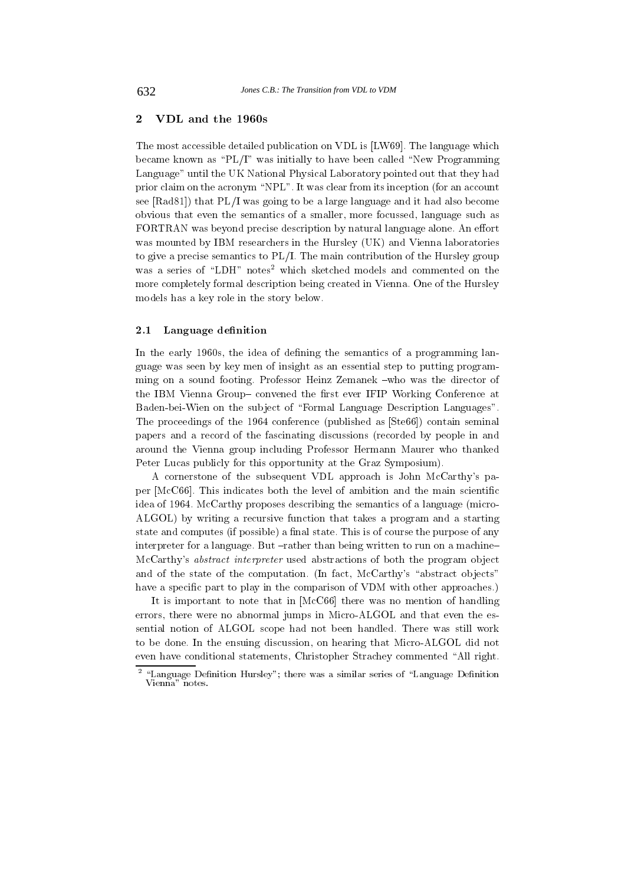## 2VDL and the 1960s

The most accessible detailed publication on VDL is [LW69]. The language which became known as "PL/I" was initially to have been called "New Programming Language" until the UK National Physical Laboratory pointed out that they had prior claim on the acronym "NPL". It was clear from its inception (for an account see [Rad81]) that PL/I was going to be a large language and it had also become obvious that even the semantics of a smaller, more focussed, language such as FORTRAN was beyond precise description by natural language alone. An effort was mounted by IBM researchers in the Hursley (UK) and Vienna laboratories to give a precise semantics to PL/I. The main contribution of the Hursley group was a series of "LDH" notes<sup>2</sup> which sketched models and commented on the more completely formal description being created in Vienna. One of the Hursley models has a key role in the story below.

#### 2.1Language definition

In the early 1960s, the idea of defining the semantics of a programming language was seen by key men of insight as an essential step to putting programming on a sound footing. Professor Heinz Zemanek -who was the director of the IBM Vienna Group-convened the first ever IFIP Working Conference at Baden-bei-Wien on the subject of "Formal Language Description Languages". The proceedings of the 1964 conference (published as [Ste66]) contain seminal papers and a record of the fascinating discussions (recorded by people in and around the Vienna group including Professor Hermann Maurer who thanked Peter Lucas publicly for this opportunity at the Graz Symposium).

A cornerstone of the subsequent VDL approach is John McCarthy's paper [McC66]. This indicates both the level of ambition and the main scientific idea of 1964. McCarthy proposes describing the semantics of a language (micro-ALGOL) by writing a recursive function that takes a program and a starting state and computes (if possible) a final state. This is of course the purpose of any interpreter for a language. But  $-rather$  than being written to run on a machine-McCarthy's *abstract interpreter* used abstractions of both the program object and of the state of the computation. (In fact, McCarthy's "abstract objects" have a specific part to play in the comparison of VDM with other approaches.)

It is important to note that in [McC66] there was no mention of handling errors, there were no abnormal jumps in Micro-ALGOL and that even the essential notion of ALGOL scope had not been handled. There was still work to be done. In the ensuing discussion, on hearing that Micro-ALGOL did not even have conditional statements, Christopher Strachey commented "All right.

 $\,$  -Language Dennition Hursley"; there was a similar series of "Language Dennition  $\,$ Vienna" notes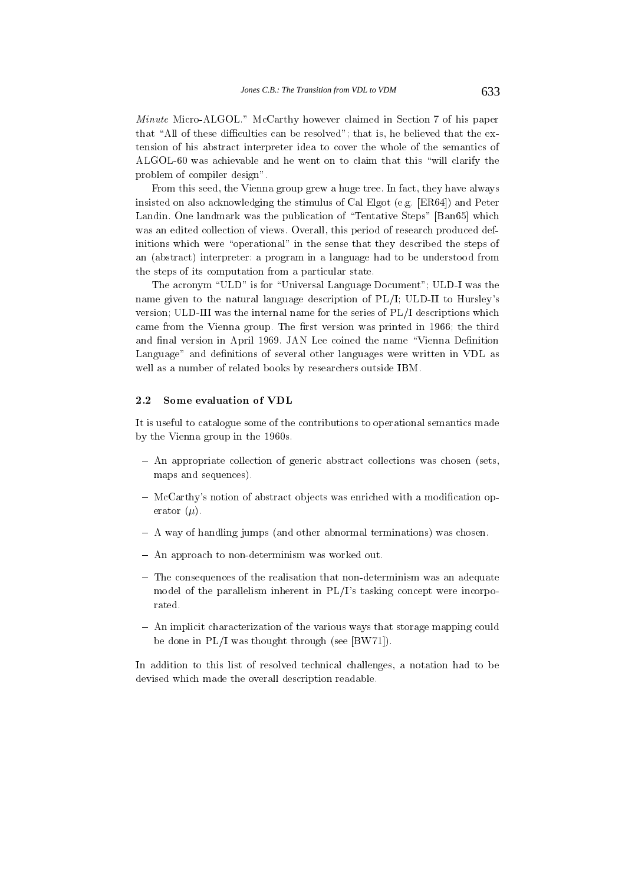Minute Micro-ALGOL." McCarthy however claimed in Section 7 of his paper that "All of these difficulties can be resolved"; that is, he believed that the extension of his abstract interpreter idea to cover the whole of the semantics of ALGOL-60 was achievable and he went on to claim that this \will clarify the problem of compiler design".

From this seed, the Vienna group grew a huge tree. In fact, they have always insisted on also acknowledging the stimulus of Cal Elgot (e.g. [ER64]) and Peter Landin. One landmark was the publication of "Tentative Steps" [Ban65] which was an edited collection of views. Overall, this period of research produced definitions which were "operational" in the sense that they described the steps of an (abstract) interpreter: a program in a language had to be understood from the steps of its computation from a particular state.

The acronym "ULD" is for "Universal Language Document"; ULD-I was the name given to the natural language description of PL/I; ULD-II to Hursley's version; ULD-III was the internal name for the series of PL/I descriptions which came from the Vienna group. The first version was printed in 1966; the third and final version in April 1969. JAN Lee coined the name "Vienna Definition Language" and definitions of several other languages were written in VDL as well as a number of related books by researchers outside IBM.

# Some evaluation of VDL

It is useful to catalogue some of the contributions to operational semantics made by the Vienna group in the 1960s.

- { An appropriate collection of generic abstract collections was chosen (sets, maps and sequences).
- $-$  McCarthy's notion of abstract objects was enriched with a modification operator  $(\mu)$ .
- { A way of handling jumps (and other abnormal terminations) was chosen.
- { An approach to non-determinism was worked out.
- ${\bf T}$  . The consequences of the realisation that non-determinism was an adequated was an adequated was an adequated model of the parallelism inherent in PL/I's tasking concept were incorpo-
- { An implicit characterization of the various ways that storage mapping could be done in PL/I was thought through (see [BW71]).

In addition to this list of resolved technical challenges, a notation had to be devised which made the overall description readable.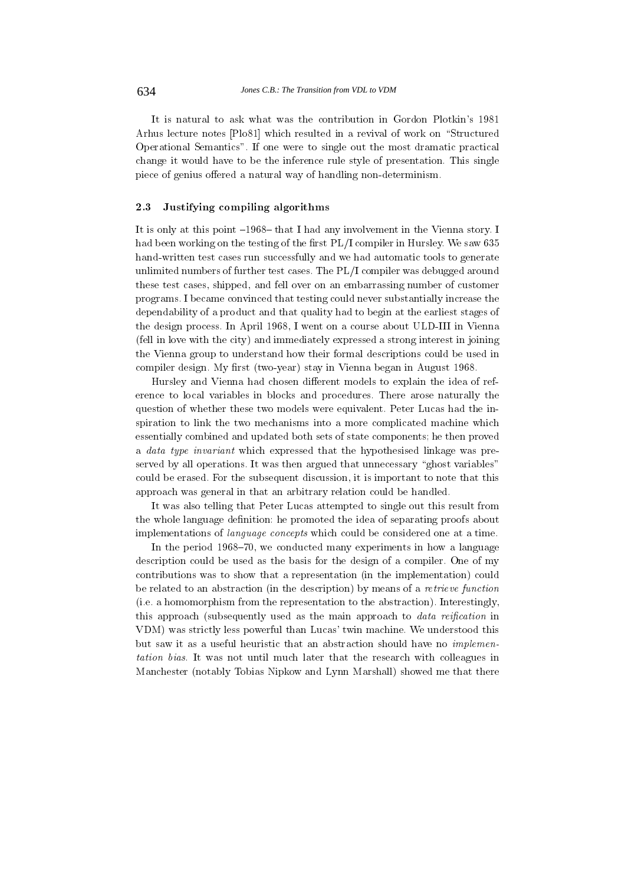It is natural to ask what was the contribution in Gordon Plotkin's 1981 Arhus lecture notes [Plo81] which resulted in a revival of work on "Structured Operational Semantics". If one were to single out the most dramatic practical change it would have to be the inference rule style of presentation. This single piece of genius offered a natural way of handling non-determinism.

#### 2.3Justifying compiling algorithms

It is only at this point  $-1968$  that I had any involvement in the Vienna story. I had been working on the testing of the first  $PL/I$  compiler in Hursley. We saw 635 hand-written test cases run successfully and we had automatic tools to generate unlimited numbers of further test cases. The PL/I compiler was debugged around these test cases, shipped, and fell over on an embarrassing number of customer programs. I became convinced that testing could never substantially increase the dependability of a product and that quality had to begin at the earliest stages of the design process. In April 1968, I went on a course about ULD-III in Vienna (fell in love with the city) and immediately expressed a strong interest in joining the Vienna group to understand how their formal descriptions could be used in compiler design. My first (two-year) stay in Vienna began in August 1968.

Hursley and Vienna had chosen different models to explain the idea of reference to local variables in blocks and procedures. There arose naturally the question of whether these two models were equivalent. Peter Lucas had the inspiration to link the two mechanisms into a more complicated machine which essentially combined and updated both sets of state components; he then proved a data type invariant which expressed that the hypothesised linkage was preserved by all operations. It was then argued that unnecessary "ghost variables" could be erased. For the subsequent discussion, it is important to note that this approach was general in that an arbitrary relation could be handled.

It was also telling that Peter Lucas attempted to single out this result from the whole language definition: he promoted the idea of separating proofs about implementations of language concepts which could be considered one at a time.

In the period 1968–70, we conducted many experiments in how a language description could be used as the basis for the design of a compiler. One of my contributions was to show that a representation (in the implementation) could be related to an abstraction (in the description) by means of a retrieve function (i.e. a homomorphism from the representation to the abstraction). Interestingly, this approach (subsequently used as the main approach to *data reification* in VDM) was strictly less powerful than Lucas' twin machine. We understood this but saw it as a useful heuristic that an abstraction should have no implementation bias. It was not until much later that the research with colleagues in Manchester (notably Tobias Nipkow and Lynn Marshall) showed me that there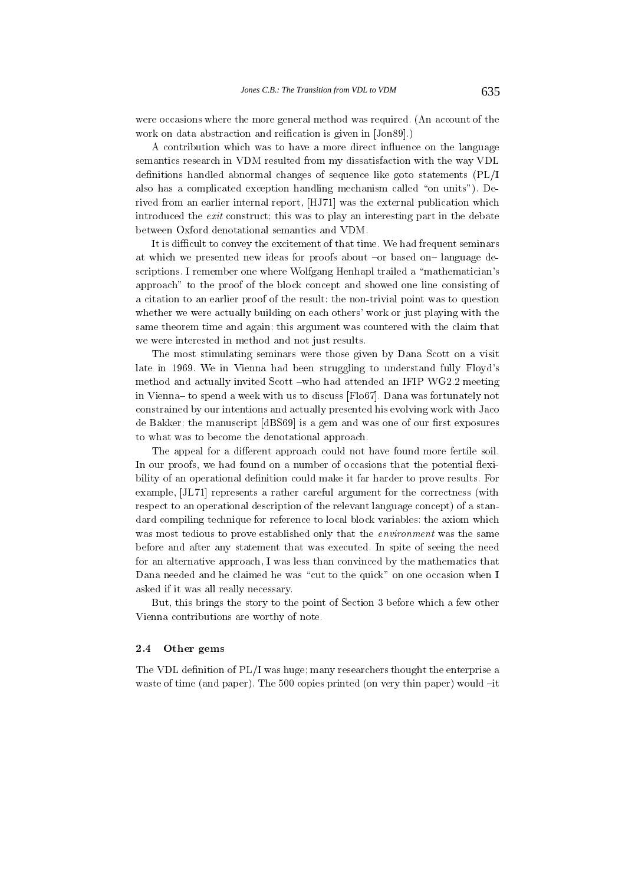were occasions where the more general method was required. (An account of the work on data abstraction and reification is given in [Jon89].)

A contribution which was to have a more direct influence on the language semantics research in VDM resulted from my dissatisfaction with the way VDL definitions handled abnormal changes of sequence like goto statements (PL/I also has a complicated exception handling mechanism called "on units"). Derived from an earlier internal report, [HJ71] was the external publication which introduced the exit construct; this was to play an interesting part in the debate between Oxford denotational semantics and VDM.

It is difficult to convey the excitement of that time. We had frequent seminars at which we presented new ideas for proofs about -or based on-language descriptions. I remember one where Wolfgang Henhapl trailed a "mathematician's approach" to the proof of the block concept and showed one line consisting of a citation to an earlier proof of the result: the non-trivial point was to question whether we were actually building on each others' work or just playing with the same theorem time and again; this argument was countered with the claim that we were interested in method and not just results.

The most stimulating seminars were those given by Dana Scott on a visit late in 1969. We in Vienna had been struggling to understand fully Floyd's method and actually invited Scott -who had attended an IFIP WG2.2 meeting in Vienna- to spend a week with us to discuss [Flo67]. Dana was fortunately not constrained by our intentions and actually presented his evolving work with Jaco de Bakker; the manuscript [dBS69] is a gem and was one of our first exposures to what was to become the denotational approach.

The appeal for a different approach could not have found more fertile soil. In our proofs, we had found on a number of occasions that the potential flexibility of an operational definition could make it far harder to prove results. For example, [JL71] represents a rather careful argument for the correctness (with respect to an operational description of the relevant language concept) of a standard compiling technique for reference to local block variables: the axiom which was most tedious to prove established only that the *environment* was the same before and after any statement that was executed. In spite of seeing the need for an alternative approach, I was less than convinced by the mathematics that Dana needed and he claimed he was "cut to the quick" on one occasion when I asked if it was all really necessary.

But, this brings the story to the point of Section 3 before which a few other Vienna contributions are worthy of note.

#### 2.4Other gems

The VDL definition of  $PL/I$  was huge; many researchers thought the enterprise a waste of time (and paper). The  $500$  copies printed (on very thin paper) would  $-it$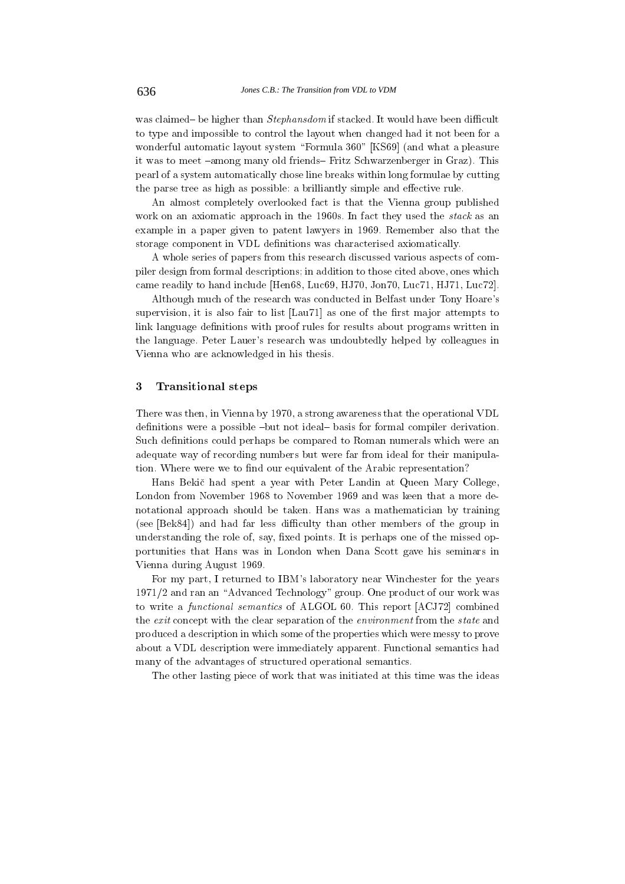was claimed– be higher than *Stephansdom* if stacked. It would have been difficult to type and impossible to control the layout when changed had it not been for a wonderful automatic layout system "Formula 360" [KS69] (and what a pleasure it was to meet -among many old friends- Fritz Schwarzenberger in Graz). This pearl of a system automatically chose line breaks within long formulae by cutting the parse tree as high as possible: a brilliantly simple and effective rule.

An almost completely overlooked fact is that the Vienna group published work on an axiomatic approach in the 1960s. In fact they used the *stack* as an example in a paper given to patent lawyers in 1969. Remember also that the storage component in VDL definitions was characterised axiomatically.

A whole series of papers from this research discussed various aspects of compiler design from formal descriptions; in addition to those cited above, ones which came readily to hand include [Hen68, Luc69, HJ70, Jon70, Luc71, HJ71, Luc72].

Although much of the research was conducted in Belfast under Tony Hoare's supervision, it is also fair to list [Lau71] as one of the first major attempts to link language definitions with proof rules for results about programs written in the language. Peter Lauer's research was undoubtedly helped by colleagues in Vienna who are acknowledged in his thesis.

## 3Transitional steps

There was then, in Vienna by 1970, a strong awareness that the operational VDL definitions were a possible  $-b$ ut not ideal $-b$  as is for formal compiler derivation. Such definitions could perhaps be compared to Roman numerals which were an adequate way of recording numbers but were far from ideal for their manipulation. Where were we to find our equivalent of the Arabic representation?

Hans Bekic had spent a year with Peter Landin at Queen Mary College, London from November 1968 to November 1969 and was keen that a more denotational approach should be taken. Hans was a mathematician by training (see [Bek84]) and had far less difficulty than other members of the group in understanding the role of, say, fixed points. It is perhaps one of the missed opportunities that Hans was in London when Dana Scott gave his seminars in Vienna during August 1969.

For my part, I returned to IBM's laboratory near Winchester for the years  $1971/2$  and ran an "Advanced Technology" group. One product of our work was to write a functional semantics of ALGOL 60. This report [ACJ72] combined the exit concept with the clear separation of the environment from the state and produced a description in which some of the properties which were messy to prove about a VDL description were immediately apparent. Functional semantics had many of the advantages of structured operational semantics.

The other lasting piece of work that was initiated at this time was the ideas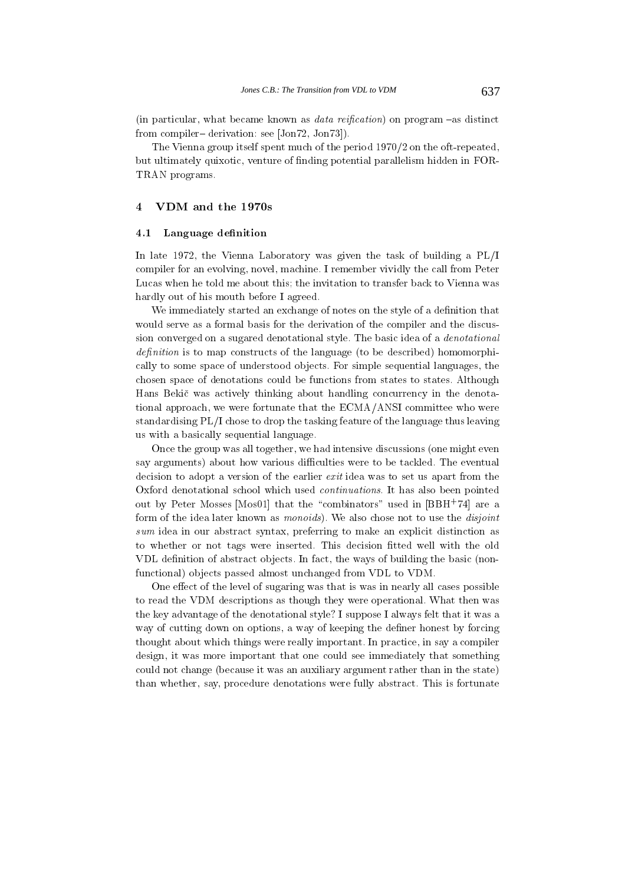(in particular, what became known as *data reification*) on program  $-$ as distinct from compiler – derivation: see  $[Jan72, Jon73]$ .

The Vienna group itself spent much of the period 1970/2 on the oft-repeated, but ultimately quixotic, venture of finding potential parallelism hidden in FOR-TRAN programs.

## 4VDM and the 1970s

#### 4.1Language definition

In late 1972, the Vienna Laboratory was given the task of building a PL/I compiler for an evolving, novel, machine. I remember vividly the call from Peter Lucas when he told me about this; the invitation to transfer back to Vienna was hardly out of his mouth before I agreed.

We immediately started an exchange of notes on the style of a definition that would serve as a formal basis for the derivation of the compiler and the discussion converged on a sugared denotational style. The basic idea of a denotational denition is to map constructs of the language (to be described) homomorphically to some space of understood objects. For simple sequential languages, the chosen space of denotations could be functions from states to states. Although Hans Bekic was actively thinking about handling concurrency in the denotational approach, we were fortunate that the ECMA/ANSI committee who were standardising PL/I chose to drop the tasking feature of the language thus leaving us with a basically sequential language.

Once the group was all together, we had intensive discussions (one might even say arguments) about how various difficulties were to be tackled. The eventual decision to adopt a version of the earlier *exit* idea was to set us apart from the Oxford denotational school which used continuations. It has also been pointed out by Peter Mosses [Mos01] that the \combinators" used in [BBH+ 74] are a form of the idea later known as *monoids*). We also chose not to use the *disjoint* sum idea in our abstract syntax, preferring to make an explicit distinction assembly as a explicit distinction to whether or not tags were inserted. This decision fitted well with the old VDL definition of abstract objects. In fact, the ways of building the basic (nonfunctional) ob jects passed almost unchanged from VDL to VDM.

One effect of the level of sugaring was that is was in nearly all cases possible to read the VDM descriptions as though they were operational. What then was the key advantage of the denotational style? I suppose I always felt that it was a way of cutting down on options, a way of keeping the definer honest by forcing thought about which things were really important. In practice, in say a compiler design, it was more important that one could see immediately that something could not change (because it was an auxiliary argument rather than in the state) than whether, say, procedure denotations were fully abstract. This is fortunate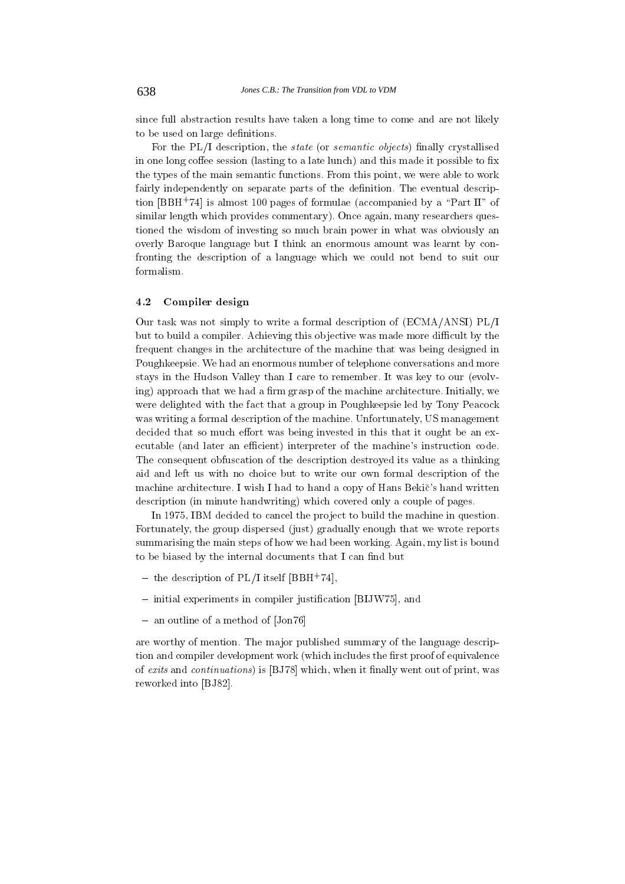since full abstraction results have taken a long time to come and are not likely to be used on large definitions.

For the PL/I description, the *state* (or *semantic objects*) finally crystallised in one long coffee session (lasting to a late lunch) and this made it possible to fix the types of the main semantic functions. From this point, we were able to work fairly independently on separate parts of the definition. The eventual description [BBH+ 74] is almost 100 pages of formulae (accompanied by a \Part II" of similar length which provides commentary). Once again, many researchers questioned the wisdom of investing so much brain power in what was obviously an overly Baroque language but I think an enormous amount was learnt by confronting the description of a language which we could not bend to suit our formalism.

#### 4.2Compiler design

Our task was not simply to write a formal description of (ECMA/ANSI) PL/I but to build a compiler. Achieving this objective was made more difficult by the frequent changes in the architecture of the machine that was being designed in Poughkeepsie. We had an enormous number of telephone conversations and more stays in the Hudson Valley than I care to remember. It was key to our (evolving) approach that we had a firm grasp of the machine architecture. Initially, we were delighted with the fact that a group in Poughkeepsie led by Tony Peacock was writing a formal description of the machine. Unfortunately, US management decided that so much effort was being invested in this that it ought be an executable (and later an efficient) interpreter of the machine's instruction code. The consequent obfuscation of the description destroyed its value as a thinking aid and left us with no choice but to write our own formal description of the machine architecture. I wish I had to hand a copy of Hans Bekic's hand written description (in minute handwriting) which covered only a couple of pages.

In 1975, IBM decided to cancel the project to build the machine in question. Fortunately, the group dispersed (just) gradually enough that we wrote reports summarising the main steps of how we had been working. Again, my list is bound to be biased by the internal documents that I can find but

- $=$  the description of PL/I itself  $|{\bf BBA}|\!/|4|,$
- ${\bf i}$  initial experiments in complict justingent and  ${\bf i}$
- { an outline of a method of [Jon76]

are worthy of mention. The ma jor published summary of the language description and compiler development work (which includes the first proof of equivalence of exits and continuations) is [BJ78] which, when it nally went out of print, was reworked into [BJ82].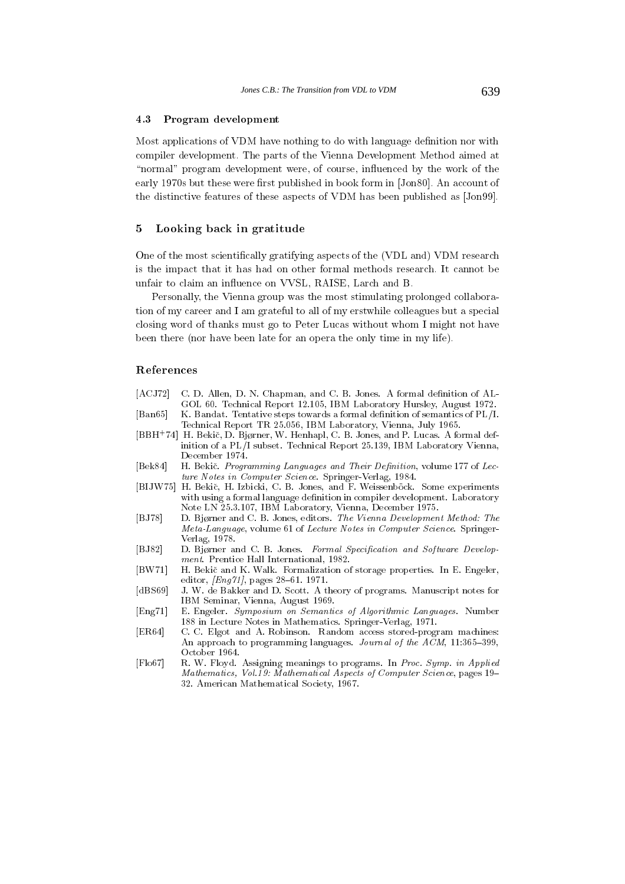#### 4.3Program development

Most applications of VDM have nothing to do with language definition nor with compiler development. The parts of the Vienna Development Method aimed at "normal" program development were, of course, influenced by the work of the early 1970s but these were first published in book form in [Jon80]. An account of the distinctive features of these aspects of VDM has been published as [Jon99].

## 5Looking back in gratitude

One of the most scientically gratifying aspects of the (VDL and) VDM research is the impact that it has had on other formal methods research. It cannot be unfair to claim an influence on VVSL, RAISE, Larch and B.

Personally, the Vienna group was the most stimulating prolonged collaboration of my career and I am grateful to all of my erstwhile colleagues but a special closing word of thanks must go to Peter Lucas without whom I might not have been there (nor have been late for an opera the only time in my life).

# References

- [ACJ72] C. D. Allen, D. N. Chapman, and C. B. Jones. A formal definition of AL-GOL 60. Technical Report 12.105, IBM Laboratory Hursley, August 1972. [Ban65] K. Bandat. Tentative steps towards a formal denition of semantics of PL/I.
- Technical Report TR 25.056, IBM Laboratory, Vienna, July 1965. [BBH+(4] H. Bekic, D. Bjørner, W. Henhapl, C. B. Jones, and P. Lucas. A formal definition of a PL/I subset. Technical Report 25.139, IBM Laboratory Vienna, December 1974.
- [Bek84] H. Bekič. Programming Languages and Their Definition, volume 177 of Lecture Notes in Computer Science. Springer-Verlag, 1984.
- [BIJW75] H. Bekič, H. Izbicki, C. B. Jones, and F. Weissenböck. Some experiments with using a formal language definition in compiler development. Laboratory Note LN 25.3.107, IBM Laboratory, Vienna, December 1975.
- [BJ78] D. Bjørner and C. B. Jones, editors. The Vienna Development Method: The Meta-Language, volume 61 of Lecture Notes in Computer Science. Springer-Verlag, 1978.
- [BJ82] D. Bjørner and C. B. Jones. Formal Specification and Software Development. Prentice Hall International, 1982.
- [BW71] H. Bekic and K. Walk. Formalization of storage properties. In E. Engeler, editor,  $[Eng 71]$ , pages 28-61. 1971.
- [dBS69] J. W. de Bakker and D. Scott. A theory of programs. Manuscript notes for IBM Seminar, Vienna, August 1969.
- [Eng71] E. Engeler. Symposium on Semantics of Algorithmic Languages. Number 188 in Lecture Notes in Mathematics. Springer-Verlag, 1971.
- [ER64] C. C. Elgot and A. Robinson. Random access stored-program machines: An approach to programming languages. Journal of the  $ACM$ , 11:365-399, October 1964.
- [Flo67] R. W. Floyd. Assigning meanings to programs. In Proc. Symp. in Applied Mathematics, Vol.19: Mathematical Aspects of Computer Science, pages 19-32. American Mathematical Society, 1967.